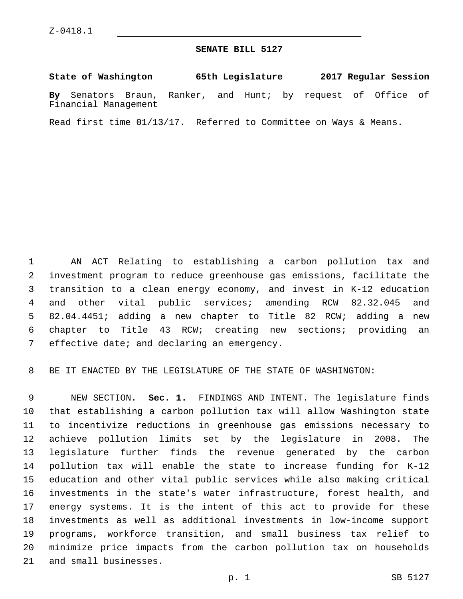### **SENATE BILL 5127**

**State of Washington 65th Legislature 2017 Regular Session By** Senators Braun, Ranker, and Hunt; by request of Office of Financial Management

Read first time 01/13/17. Referred to Committee on Ways & Means.

 AN ACT Relating to establishing a carbon pollution tax and investment program to reduce greenhouse gas emissions, facilitate the transition to a clean energy economy, and invest in K-12 education and other vital public services; amending RCW 82.32.045 and 82.04.4451; adding a new chapter to Title 82 RCW; adding a new chapter to Title 43 RCW; creating new sections; providing an 7 effective date; and declaring an emergency.

BE IT ENACTED BY THE LEGISLATURE OF THE STATE OF WASHINGTON:

 NEW SECTION. **Sec. 1.** FINDINGS AND INTENT. The legislature finds that establishing a carbon pollution tax will allow Washington state to incentivize reductions in greenhouse gas emissions necessary to achieve pollution limits set by the legislature in 2008. The legislature further finds the revenue generated by the carbon pollution tax will enable the state to increase funding for K-12 education and other vital public services while also making critical investments in the state's water infrastructure, forest health, and energy systems. It is the intent of this act to provide for these investments as well as additional investments in low-income support programs, workforce transition, and small business tax relief to minimize price impacts from the carbon pollution tax on households and small businesses.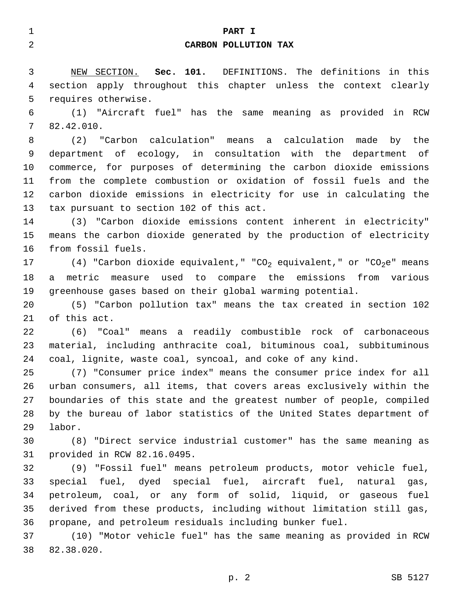| 1              | PART I                                                                                      |
|----------------|---------------------------------------------------------------------------------------------|
| $\overline{a}$ | CARBON POLLUTION TAX                                                                        |
| 3              | NEW SECTION. Sec. 101. DEFINITIONS. The definitions in this                                 |
| 4              | section apply throughout this chapter unless the context clearly                            |
| 5              | requires otherwise.                                                                         |
| 6              | (1) "Aircraft fuel" has the same meaning as provided in RCW                                 |
| 7              | 82.42.010.                                                                                  |
| 8              | (2) "Carbon calculation" means a calculation made by the                                    |
| 9              | department of ecology, in consultation with the department of                               |
| 10             | commerce, for purposes of determining the carbon dioxide emissions                          |
| 11             | from the complete combustion or oxidation of fossil fuels and the                           |
| 12             | carbon dioxide emissions in electricity for use in calculating the                          |
| 13             | tax pursuant to section 102 of this act.                                                    |
| 14             | (3) "Carbon dioxide emissions content inherent in electricity"                              |
| 15             | means the carbon dioxide generated by the production of electricity                         |
| 16             | from fossil fuels.                                                                          |
| 17             | (4) "Carbon dioxide equivalent," "CO <sub>2</sub> equivalent," or "CO <sub>2</sub> e" means |
| 18             | metric measure used to compare the emissions from various<br>a                              |
| 19             | greenhouse gases based on their global warming potential.                                   |
| 20             | (5) "Carbon pollution tax" means the tax created in section 102                             |
| 21             | of this act.                                                                                |
| 22             | (6) "Coal" means a readily combustible rock of carbonaceous                                 |
| 23             | material, including anthracite coal, bituminous coal, subbituminous                         |
| 24             | coal, lignite, waste coal, syncoal, and coke of any kind.                                   |
| 25             | (7) "Consumer price index" means the consumer price index for all                           |
| 26             | urban consumers, all items, that covers areas exclusively within the                        |
| 27             | boundaries of this state and the greatest number of people, compiled                        |
| 28             | by the bureau of labor statistics of the United States department of                        |
| 29             | labor.                                                                                      |
| 30             | (8) "Direct service industrial customer" has the same meaning as                            |
| 31             | provided in RCW 82.16.0495.                                                                 |
| 32             | (9) "Fossil fuel" means petroleum products, motor vehicle fuel,                             |
| 33             | special fuel, dyed special fuel, aircraft fuel, natural<br>gas,                             |
| 34             | petroleum, coal, or any form of solid, liquid, or gaseous fuel                              |
| 35             | derived from these products, including without limitation still gas,                        |
| 36             | propane, and petroleum residuals including bunker fuel.                                     |
| 37             | (10) "Motor vehicle fuel" has the same meaning as provided in RCW                           |
| 38             | 82.38.020.                                                                                  |
|                | SB 5127<br>p. 2                                                                             |
|                |                                                                                             |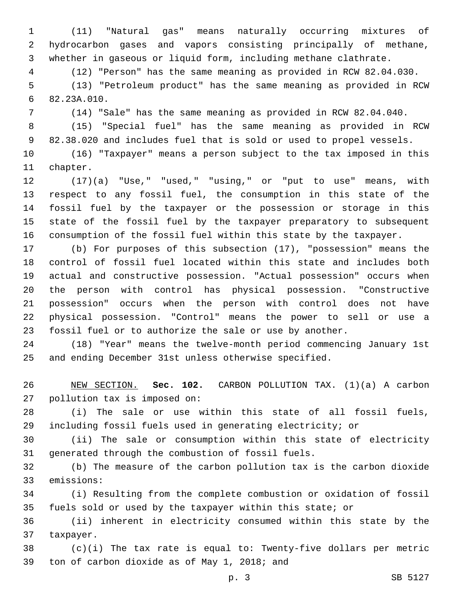(11) "Natural gas" means naturally occurring mixtures of hydrocarbon gases and vapors consisting principally of methane, whether in gaseous or liquid form, including methane clathrate.

(12) "Person" has the same meaning as provided in RCW 82.04.030.

 (13) "Petroleum product" has the same meaning as provided in RCW 82.23A.010.6

(14) "Sale" has the same meaning as provided in RCW 82.04.040.

 (15) "Special fuel" has the same meaning as provided in RCW 82.38.020 and includes fuel that is sold or used to propel vessels.

 (16) "Taxpayer" means a person subject to the tax imposed in this 11 chapter.

 (17)(a) "Use," "used," "using," or "put to use" means, with respect to any fossil fuel, the consumption in this state of the fossil fuel by the taxpayer or the possession or storage in this state of the fossil fuel by the taxpayer preparatory to subsequent consumption of the fossil fuel within this state by the taxpayer.

 (b) For purposes of this subsection (17), "possession" means the control of fossil fuel located within this state and includes both actual and constructive possession. "Actual possession" occurs when the person with control has physical possession. "Constructive possession" occurs when the person with control does not have physical possession. "Control" means the power to sell or use a fossil fuel or to authorize the sale or use by another.

 (18) "Year" means the twelve-month period commencing January 1st and ending December 31st unless otherwise specified.

 NEW SECTION. **Sec. 102.** CARBON POLLUTION TAX. (1)(a) A carbon pollution tax is imposed on:

 (i) The sale or use within this state of all fossil fuels, including fossil fuels used in generating electricity; or

 (ii) The sale or consumption within this state of electricity 31 generated through the combustion of fossil fuels.

 (b) The measure of the carbon pollution tax is the carbon dioxide 33 emissions:

 (i) Resulting from the complete combustion or oxidation of fossil fuels sold or used by the taxpayer within this state; or

 (ii) inherent in electricity consumed within this state by the 37 taxpayer.

 (c)(i) The tax rate is equal to: Twenty-five dollars per metric 39 ton of carbon dioxide as of May 1, 2018; and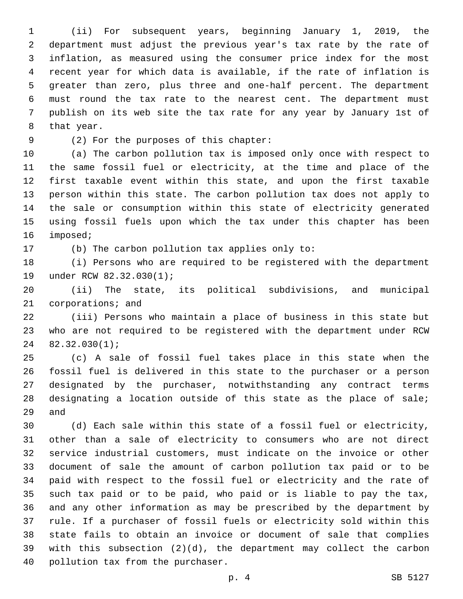(ii) For subsequent years, beginning January 1, 2019, the department must adjust the previous year's tax rate by the rate of inflation, as measured using the consumer price index for the most recent year for which data is available, if the rate of inflation is greater than zero, plus three and one-half percent. The department must round the tax rate to the nearest cent. The department must publish on its web site the tax rate for any year by January 1st of 8 that year.

(2) For the purposes of this chapter:9

 (a) The carbon pollution tax is imposed only once with respect to the same fossil fuel or electricity, at the time and place of the first taxable event within this state, and upon the first taxable person within this state. The carbon pollution tax does not apply to the sale or consumption within this state of electricity generated using fossil fuels upon which the tax under this chapter has been 16 imposed;

17 (b) The carbon pollution tax applies only to:

 (i) Persons who are required to be registered with the department 19 under RCW 82.32.030(1);

 (ii) The state, its political subdivisions, and municipal 21 corporations; and

 (iii) Persons who maintain a place of business in this state but who are not required to be registered with the department under RCW 82.32.030(1);

 (c) A sale of fossil fuel takes place in this state when the fossil fuel is delivered in this state to the purchaser or a person designated by the purchaser, notwithstanding any contract terms designating a location outside of this state as the place of sale; 29 and

 (d) Each sale within this state of a fossil fuel or electricity, other than a sale of electricity to consumers who are not direct service industrial customers, must indicate on the invoice or other document of sale the amount of carbon pollution tax paid or to be paid with respect to the fossil fuel or electricity and the rate of such tax paid or to be paid, who paid or is liable to pay the tax, and any other information as may be prescribed by the department by rule. If a purchaser of fossil fuels or electricity sold within this state fails to obtain an invoice or document of sale that complies with this subsection (2)(d), the department may collect the carbon 40 pollution tax from the purchaser.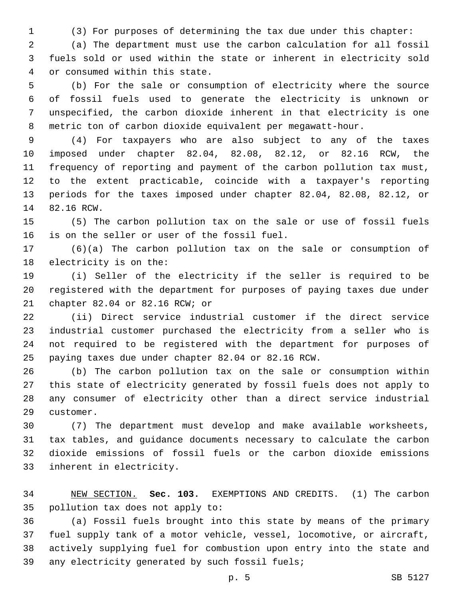(3) For purposes of determining the tax due under this chapter:

 (a) The department must use the carbon calculation for all fossil fuels sold or used within the state or inherent in electricity sold or consumed within this state.4

 (b) For the sale or consumption of electricity where the source of fossil fuels used to generate the electricity is unknown or unspecified, the carbon dioxide inherent in that electricity is one metric ton of carbon dioxide equivalent per megawatt-hour.

 (4) For taxpayers who are also subject to any of the taxes imposed under chapter 82.04, 82.08, 82.12, or 82.16 RCW, the frequency of reporting and payment of the carbon pollution tax must, to the extent practicable, coincide with a taxpayer's reporting periods for the taxes imposed under chapter 82.04, 82.08, 82.12, or 14 82.16 RCW.

 (5) The carbon pollution tax on the sale or use of fossil fuels 16 is on the seller or user of the fossil fuel.

 (6)(a) The carbon pollution tax on the sale or consumption of 18 electricity is on the:

 (i) Seller of the electricity if the seller is required to be registered with the department for purposes of paying taxes due under 21 chapter 82.04 or 82.16 RCW; or

 (ii) Direct service industrial customer if the direct service industrial customer purchased the electricity from a seller who is not required to be registered with the department for purposes of paying taxes due under chapter 82.04 or 82.16 RCW.

 (b) The carbon pollution tax on the sale or consumption within this state of electricity generated by fossil fuels does not apply to any consumer of electricity other than a direct service industrial 29 customer.

 (7) The department must develop and make available worksheets, tax tables, and guidance documents necessary to calculate the carbon dioxide emissions of fossil fuels or the carbon dioxide emissions 33 inherent in electricity.

 NEW SECTION. **Sec. 103.** EXEMPTIONS AND CREDITS. (1) The carbon pollution tax does not apply to:

 (a) Fossil fuels brought into this state by means of the primary fuel supply tank of a motor vehicle, vessel, locomotive, or aircraft, actively supplying fuel for combustion upon entry into the state and 39 any electricity generated by such fossil fuels;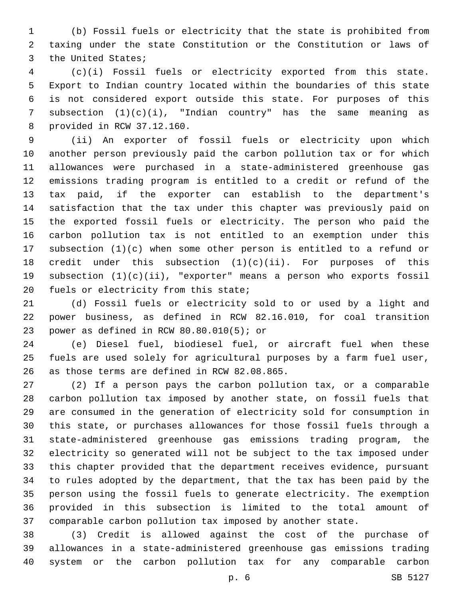(b) Fossil fuels or electricity that the state is prohibited from taxing under the state Constitution or the Constitution or laws of 3 the United States;

 (c)(i) Fossil fuels or electricity exported from this state. Export to Indian country located within the boundaries of this state is not considered export outside this state. For purposes of this subsection (1)(c)(i), "Indian country" has the same meaning as provided in RCW 37.12.160.8

 (ii) An exporter of fossil fuels or electricity upon which another person previously paid the carbon pollution tax or for which allowances were purchased in a state-administered greenhouse gas emissions trading program is entitled to a credit or refund of the tax paid, if the exporter can establish to the department's satisfaction that the tax under this chapter was previously paid on the exported fossil fuels or electricity. The person who paid the carbon pollution tax is not entitled to an exemption under this subsection (1)(c) when some other person is entitled to a refund or 18 credit under this subsection  $(1)(c)(ii)$ . For purposes of this subsection (1)(c)(ii), "exporter" means a person who exports fossil 20 fuels or electricity from this state;

 (d) Fossil fuels or electricity sold to or used by a light and power business, as defined in RCW 82.16.010, for coal transition 23 power as defined in RCW  $80.80.010(5)$ ; or

 (e) Diesel fuel, biodiesel fuel, or aircraft fuel when these fuels are used solely for agricultural purposes by a farm fuel user, 26 as those terms are defined in RCW 82.08.865.

 (2) If a person pays the carbon pollution tax, or a comparable carbon pollution tax imposed by another state, on fossil fuels that are consumed in the generation of electricity sold for consumption in this state, or purchases allowances for those fossil fuels through a state-administered greenhouse gas emissions trading program, the electricity so generated will not be subject to the tax imposed under this chapter provided that the department receives evidence, pursuant to rules adopted by the department, that the tax has been paid by the person using the fossil fuels to generate electricity. The exemption provided in this subsection is limited to the total amount of comparable carbon pollution tax imposed by another state.

 (3) Credit is allowed against the cost of the purchase of allowances in a state-administered greenhouse gas emissions trading system or the carbon pollution tax for any comparable carbon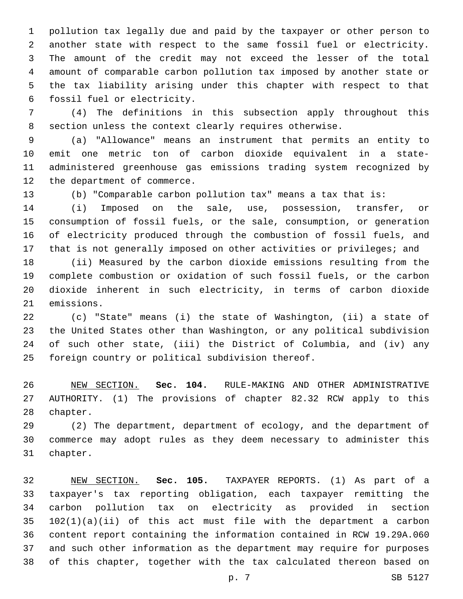pollution tax legally due and paid by the taxpayer or other person to another state with respect to the same fossil fuel or electricity. The amount of the credit may not exceed the lesser of the total amount of comparable carbon pollution tax imposed by another state or the tax liability arising under this chapter with respect to that 6 fossil fuel or electricity.

 (4) The definitions in this subsection apply throughout this section unless the context clearly requires otherwise.

 (a) "Allowance" means an instrument that permits an entity to emit one metric ton of carbon dioxide equivalent in a state- administered greenhouse gas emissions trading system recognized by 12 the department of commerce.

(b) "Comparable carbon pollution tax" means a tax that is:

 (i) Imposed on the sale, use, possession, transfer, or consumption of fossil fuels, or the sale, consumption, or generation of electricity produced through the combustion of fossil fuels, and that is not generally imposed on other activities or privileges; and

 (ii) Measured by the carbon dioxide emissions resulting from the complete combustion or oxidation of such fossil fuels, or the carbon dioxide inherent in such electricity, in terms of carbon dioxide 21 emissions.

 (c) "State" means (i) the state of Washington, (ii) a state of the United States other than Washington, or any political subdivision of such other state, (iii) the District of Columbia, and (iv) any 25 foreign country or political subdivision thereof.

 NEW SECTION. **Sec. 104.** RULE-MAKING AND OTHER ADMINISTRATIVE AUTHORITY. (1) The provisions of chapter 82.32 RCW apply to this chapter.

 (2) The department, department of ecology, and the department of commerce may adopt rules as they deem necessary to administer this 31 chapter.

 NEW SECTION. **Sec. 105.** TAXPAYER REPORTS. (1) As part of a taxpayer's tax reporting obligation, each taxpayer remitting the carbon pollution tax on electricity as provided in section 102(1)(a)(ii) of this act must file with the department a carbon content report containing the information contained in RCW 19.29A.060 and such other information as the department may require for purposes of this chapter, together with the tax calculated thereon based on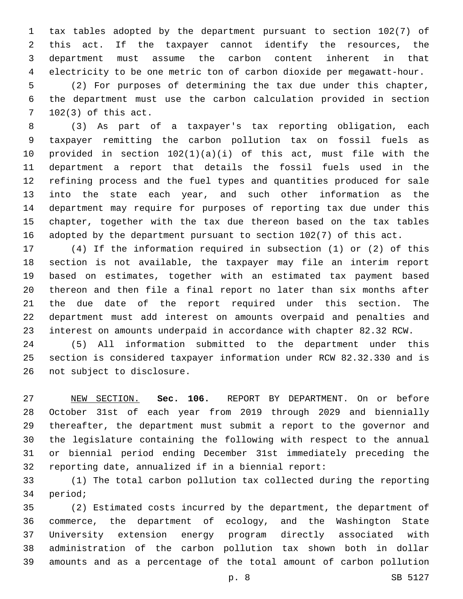tax tables adopted by the department pursuant to section 102(7) of this act. If the taxpayer cannot identify the resources, the department must assume the carbon content inherent in that electricity to be one metric ton of carbon dioxide per megawatt-hour. (2) For purposes of determining the tax due under this chapter, the department must use the carbon calculation provided in section 7 102(3) of this act.

 (3) As part of a taxpayer's tax reporting obligation, each taxpayer remitting the carbon pollution tax on fossil fuels as provided in section 102(1)(a)(i) of this act, must file with the department a report that details the fossil fuels used in the refining process and the fuel types and quantities produced for sale into the state each year, and such other information as the department may require for purposes of reporting tax due under this chapter, together with the tax due thereon based on the tax tables adopted by the department pursuant to section 102(7) of this act.

 (4) If the information required in subsection (1) or (2) of this section is not available, the taxpayer may file an interim report based on estimates, together with an estimated tax payment based thereon and then file a final report no later than six months after the due date of the report required under this section. The department must add interest on amounts overpaid and penalties and interest on amounts underpaid in accordance with chapter 82.32 RCW.

 (5) All information submitted to the department under this section is considered taxpayer information under RCW 82.32.330 and is 26 not subject to disclosure.

 NEW SECTION. **Sec. 106.** REPORT BY DEPARTMENT. On or before October 31st of each year from 2019 through 2029 and biennially thereafter, the department must submit a report to the governor and the legislature containing the following with respect to the annual or biennial period ending December 31st immediately preceding the reporting date, annualized if in a biennial report:

 (1) The total carbon pollution tax collected during the reporting 34 period;

 (2) Estimated costs incurred by the department, the department of commerce, the department of ecology, and the Washington State University extension energy program directly associated with administration of the carbon pollution tax shown both in dollar amounts and as a percentage of the total amount of carbon pollution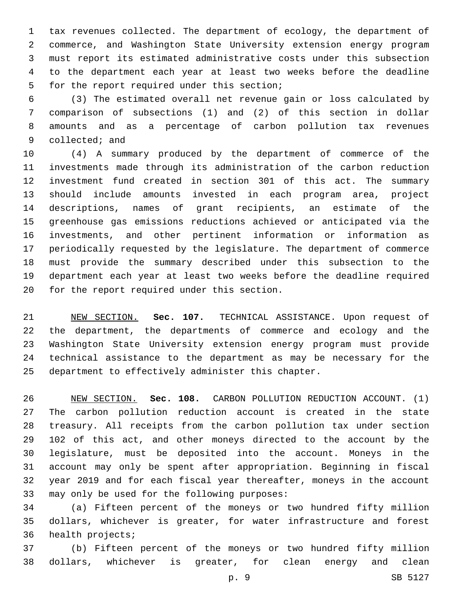tax revenues collected. The department of ecology, the department of commerce, and Washington State University extension energy program must report its estimated administrative costs under this subsection to the department each year at least two weeks before the deadline 5 for the report required under this section;

 (3) The estimated overall net revenue gain or loss calculated by comparison of subsections (1) and (2) of this section in dollar amounts and as a percentage of carbon pollution tax revenues 9 collected; and

 (4) A summary produced by the department of commerce of the investments made through its administration of the carbon reduction investment fund created in section 301 of this act. The summary should include amounts invested in each program area, project descriptions, names of grant recipients, an estimate of the greenhouse gas emissions reductions achieved or anticipated via the investments, and other pertinent information or information as periodically requested by the legislature. The department of commerce must provide the summary described under this subsection to the department each year at least two weeks before the deadline required 20 for the report required under this section.

 NEW SECTION. **Sec. 107.** TECHNICAL ASSISTANCE. Upon request of the department, the departments of commerce and ecology and the Washington State University extension energy program must provide technical assistance to the department as may be necessary for the department to effectively administer this chapter.

 NEW SECTION. **Sec. 108.** CARBON POLLUTION REDUCTION ACCOUNT. (1) The carbon pollution reduction account is created in the state treasury. All receipts from the carbon pollution tax under section 102 of this act, and other moneys directed to the account by the legislature, must be deposited into the account. Moneys in the account may only be spent after appropriation. Beginning in fiscal year 2019 and for each fiscal year thereafter, moneys in the account may only be used for the following purposes:

 (a) Fifteen percent of the moneys or two hundred fifty million dollars, whichever is greater, for water infrastructure and forest 36 health projects;

 (b) Fifteen percent of the moneys or two hundred fifty million dollars, whichever is greater, for clean energy and clean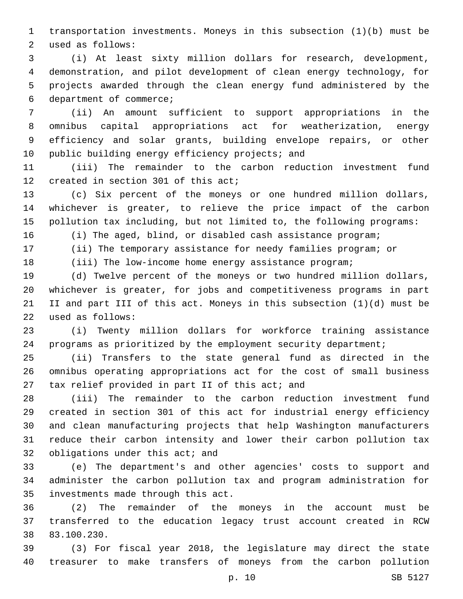transportation investments. Moneys in this subsection (1)(b) must be 2 used as follows:

 (i) At least sixty million dollars for research, development, demonstration, and pilot development of clean energy technology, for projects awarded through the clean energy fund administered by the 6 department of commerce;

 (ii) An amount sufficient to support appropriations in the omnibus capital appropriations act for weatherization, energy efficiency and solar grants, building envelope repairs, or other 10 public building energy efficiency projects; and

 (iii) The remainder to the carbon reduction investment fund 12 created in section 301 of this act;

 (c) Six percent of the moneys or one hundred million dollars, whichever is greater, to relieve the price impact of the carbon pollution tax including, but not limited to, the following programs:

(i) The aged, blind, or disabled cash assistance program;

(ii) The temporary assistance for needy families program; or

18 (iii) The low-income home energy assistance program;

 (d) Twelve percent of the moneys or two hundred million dollars, whichever is greater, for jobs and competitiveness programs in part II and part III of this act. Moneys in this subsection (1)(d) must be used as follows:22

 (i) Twenty million dollars for workforce training assistance programs as prioritized by the employment security department;

 (ii) Transfers to the state general fund as directed in the omnibus operating appropriations act for the cost of small business 27 tax relief provided in part II of this act; and

 (iii) The remainder to the carbon reduction investment fund created in section 301 of this act for industrial energy efficiency and clean manufacturing projects that help Washington manufacturers reduce their carbon intensity and lower their carbon pollution tax 32 obligations under this act; and

 (e) The department's and other agencies' costs to support and administer the carbon pollution tax and program administration for 35 investments made through this act.

 (2) The remainder of the moneys in the account must be transferred to the education legacy trust account created in RCW 38 83.100.230.

 (3) For fiscal year 2018, the legislature may direct the state treasurer to make transfers of moneys from the carbon pollution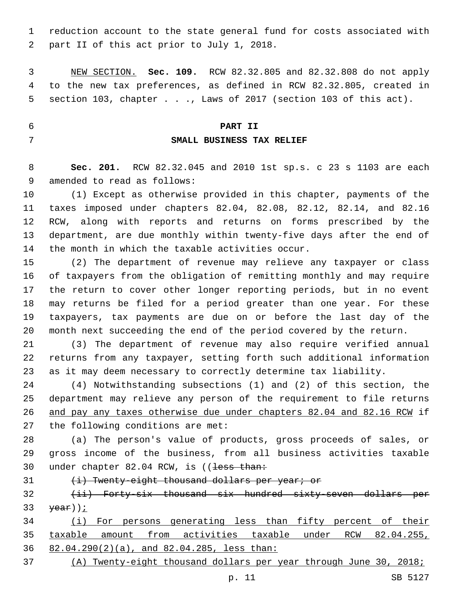reduction account to the state general fund for costs associated with 2 part II of this act prior to July 1, 2018.

 NEW SECTION. **Sec. 109.** RCW 82.32.805 and 82.32.808 do not apply to the new tax preferences, as defined in RCW 82.32.805, created in section 103, chapter . . ., Laws of 2017 (section 103 of this act).

#### **PART II**

### **SMALL BUSINESS TAX RELIEF**

 **Sec. 201.** RCW 82.32.045 and 2010 1st sp.s. c 23 s 1103 are each 9 amended to read as follows:

 (1) Except as otherwise provided in this chapter, payments of the taxes imposed under chapters 82.04, 82.08, 82.12, 82.14, and 82.16 RCW, along with reports and returns on forms prescribed by the department, are due monthly within twenty-five days after the end of 14 the month in which the taxable activities occur.

 (2) The department of revenue may relieve any taxpayer or class of taxpayers from the obligation of remitting monthly and may require the return to cover other longer reporting periods, but in no event may returns be filed for a period greater than one year. For these taxpayers, tax payments are due on or before the last day of the month next succeeding the end of the period covered by the return.

 (3) The department of revenue may also require verified annual returns from any taxpayer, setting forth such additional information as it may deem necessary to correctly determine tax liability.

 (4) Notwithstanding subsections (1) and (2) of this section, the department may relieve any person of the requirement to file returns and pay any taxes otherwise due under chapters 82.04 and 82.16 RCW if 27 the following conditions are met:

 (a) The person's value of products, gross proceeds of sales, or gross income of the business, from all business activities taxable 30 under chapter 82.04 RCW, is ((less than:

31 (i) Twenty-eight thousand dollars per year; or

32 (ii) Forty-six thousand six hundred sixty-seven dollars per  $\frac{1}{2}$ 

 (i) For persons generating less than fifty percent of their taxable amount from activities taxable under RCW 82.04.255, 82.04.290(2)(a), and 82.04.285, less than:

(A) Twenty-eight thousand dollars per year through June 30, 2018;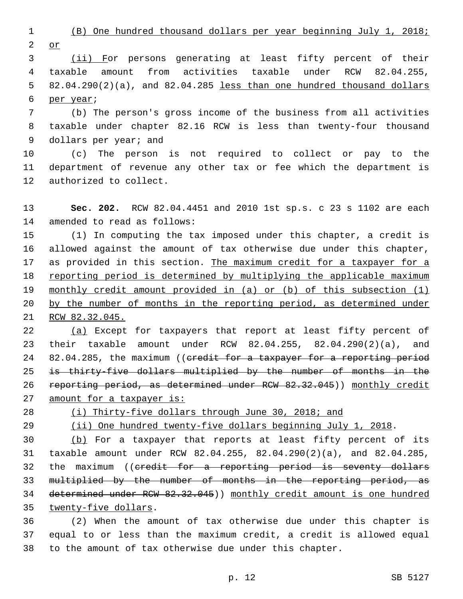(B) One hundred thousand dollars per year beginning July 1, 2018;

or

 (ii) For persons generating at least fifty percent of their taxable amount from activities taxable under RCW 82.04.255, 82.04.290(2)(a), and 82.04.285 less than one hundred thousand dollars 6 per year;

 (b) The person's gross income of the business from all activities taxable under chapter 82.16 RCW is less than twenty-four thousand 9 dollars per year; and

 (c) The person is not required to collect or pay to the department of revenue any other tax or fee which the department is 12 authorized to collect.

 **Sec. 202.** RCW 82.04.4451 and 2010 1st sp.s. c 23 s 1102 are each 14 amended to read as follows:

 (1) In computing the tax imposed under this chapter, a credit is allowed against the amount of tax otherwise due under this chapter, as provided in this section. The maximum credit for a taxpayer for a 18 reporting period is determined by multiplying the applicable maximum monthly credit amount provided in (a) or (b) of this subsection (1) by the number of months in the reporting period, as determined under RCW 82.32.045.

22 (a) Except for taxpayers that report at least fifty percent of their taxable amount under RCW 82.04.255, 82.04.290(2)(a), and 24 82.04.285, the maximum ((eredit for a taxpayer for a reporting period is thirty-five dollars multiplied by the number of months in the 26 reporting period, as determined under RCW 82.32.045)) monthly credit 27 amount for a taxpayer is:

(i) Thirty-five dollars through June 30, 2018; and

(ii) One hundred twenty-five dollars beginning July 1, 2018.

 (b) For a taxpayer that reports at least fifty percent of its taxable amount under RCW 82.04.255, 82.04.290(2)(a), and 82.04.285, 32 the maximum ((credit for a reporting period is seventy dollars multiplied by the number of months in the reporting period, as determined under RCW 82.32.045)) monthly credit amount is one hundred 35 twenty-five dollars.

 (2) When the amount of tax otherwise due under this chapter is equal to or less than the maximum credit, a credit is allowed equal to the amount of tax otherwise due under this chapter.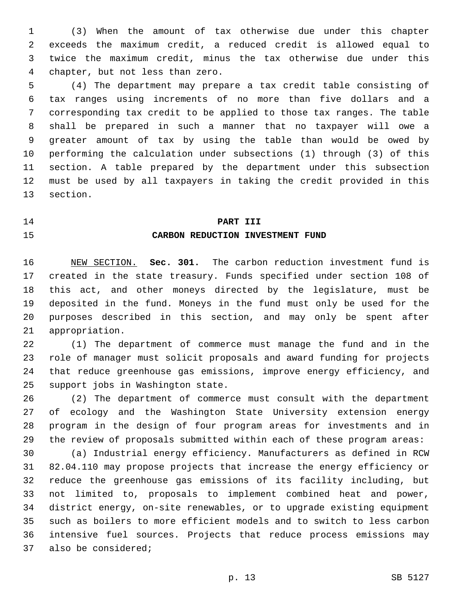(3) When the amount of tax otherwise due under this chapter exceeds the maximum credit, a reduced credit is allowed equal to twice the maximum credit, minus the tax otherwise due under this chapter, but not less than zero.4

 (4) The department may prepare a tax credit table consisting of tax ranges using increments of no more than five dollars and a corresponding tax credit to be applied to those tax ranges. The table shall be prepared in such a manner that no taxpayer will owe a greater amount of tax by using the table than would be owed by performing the calculation under subsections (1) through (3) of this section. A table prepared by the department under this subsection must be used by all taxpayers in taking the credit provided in this 13 section.

#### **PART III**

#### **CARBON REDUCTION INVESTMENT FUND**

 NEW SECTION. **Sec. 301.** The carbon reduction investment fund is created in the state treasury. Funds specified under section 108 of this act, and other moneys directed by the legislature, must be deposited in the fund. Moneys in the fund must only be used for the purposes described in this section, and may only be spent after appropriation.

 (1) The department of commerce must manage the fund and in the role of manager must solicit proposals and award funding for projects that reduce greenhouse gas emissions, improve energy efficiency, and 25 support jobs in Washington state.

 (2) The department of commerce must consult with the department of ecology and the Washington State University extension energy program in the design of four program areas for investments and in the review of proposals submitted within each of these program areas:

 (a) Industrial energy efficiency. Manufacturers as defined in RCW 82.04.110 may propose projects that increase the energy efficiency or reduce the greenhouse gas emissions of its facility including, but not limited to, proposals to implement combined heat and power, district energy, on-site renewables, or to upgrade existing equipment such as boilers to more efficient models and to switch to less carbon intensive fuel sources. Projects that reduce process emissions may 37 also be considered;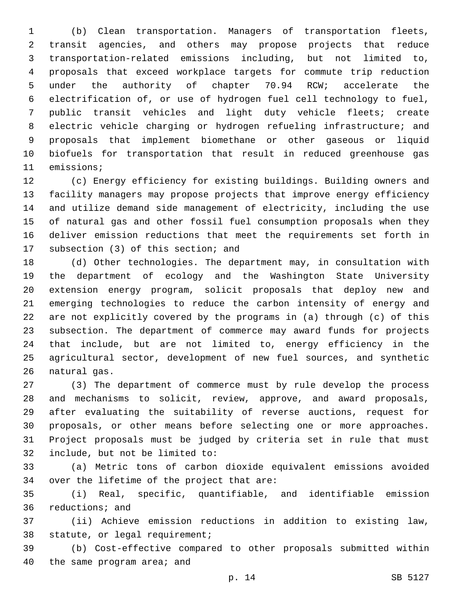(b) Clean transportation. Managers of transportation fleets, transit agencies, and others may propose projects that reduce transportation-related emissions including, but not limited to, proposals that exceed workplace targets for commute trip reduction under the authority of chapter 70.94 RCW; accelerate the electrification of, or use of hydrogen fuel cell technology to fuel, public transit vehicles and light duty vehicle fleets; create electric vehicle charging or hydrogen refueling infrastructure; and proposals that implement biomethane or other gaseous or liquid biofuels for transportation that result in reduced greenhouse gas 11 emissions;

 (c) Energy efficiency for existing buildings. Building owners and facility managers may propose projects that improve energy efficiency and utilize demand side management of electricity, including the use of natural gas and other fossil fuel consumption proposals when they deliver emission reductions that meet the requirements set forth in 17 subsection (3) of this section; and

 (d) Other technologies. The department may, in consultation with the department of ecology and the Washington State University extension energy program, solicit proposals that deploy new and emerging technologies to reduce the carbon intensity of energy and are not explicitly covered by the programs in (a) through (c) of this subsection. The department of commerce may award funds for projects that include, but are not limited to, energy efficiency in the agricultural sector, development of new fuel sources, and synthetic 26 natural gas.

 (3) The department of commerce must by rule develop the process and mechanisms to solicit, review, approve, and award proposals, after evaluating the suitability of reverse auctions, request for proposals, or other means before selecting one or more approaches. Project proposals must be judged by criteria set in rule that must 32 include, but not be limited to:

 (a) Metric tons of carbon dioxide equivalent emissions avoided 34 over the lifetime of the project that are:

 (i) Real, specific, quantifiable, and identifiable emission 36 reductions; and

 (ii) Achieve emission reductions in addition to existing law, 38 statute, or legal requirement;

 (b) Cost-effective compared to other proposals submitted within 40 the same program area; and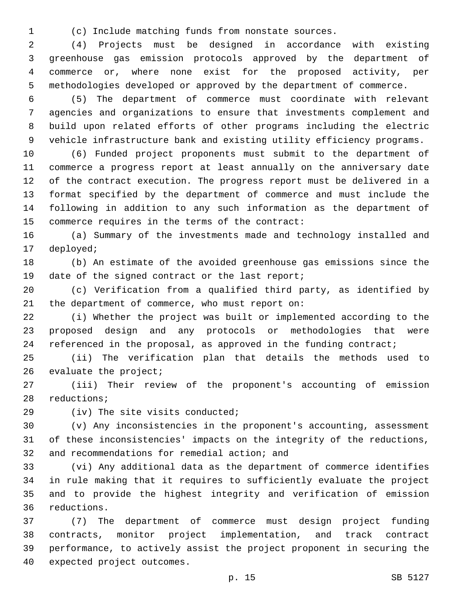(c) Include matching funds from nonstate sources.

 (4) Projects must be designed in accordance with existing greenhouse gas emission protocols approved by the department of commerce or, where none exist for the proposed activity, per methodologies developed or approved by the department of commerce.

 (5) The department of commerce must coordinate with relevant agencies and organizations to ensure that investments complement and build upon related efforts of other programs including the electric vehicle infrastructure bank and existing utility efficiency programs.

 (6) Funded project proponents must submit to the department of commerce a progress report at least annually on the anniversary date of the contract execution. The progress report must be delivered in a format specified by the department of commerce and must include the following in addition to any such information as the department of 15 commerce requires in the terms of the contract:

 (a) Summary of the investments made and technology installed and 17 deployed;

 (b) An estimate of the avoided greenhouse gas emissions since the 19 date of the signed contract or the last report;

 (c) Verification from a qualified third party, as identified by 21 the department of commerce, who must report on:

 (i) Whether the project was built or implemented according to the proposed design and any protocols or methodologies that were 24 referenced in the proposal, as approved in the funding contract;

 (ii) The verification plan that details the methods used to 26 evaluate the project;

 (iii) Their review of the proponent's accounting of emission 28 reductions;

29 (iv) The site visits conducted;

 (v) Any inconsistencies in the proponent's accounting, assessment of these inconsistencies' impacts on the integrity of the reductions, 32 and recommendations for remedial action; and

 (vi) Any additional data as the department of commerce identifies in rule making that it requires to sufficiently evaluate the project and to provide the highest integrity and verification of emission reductions.36

 (7) The department of commerce must design project funding contracts, monitor project implementation, and track contract performance, to actively assist the project proponent in securing the 40 expected project outcomes.